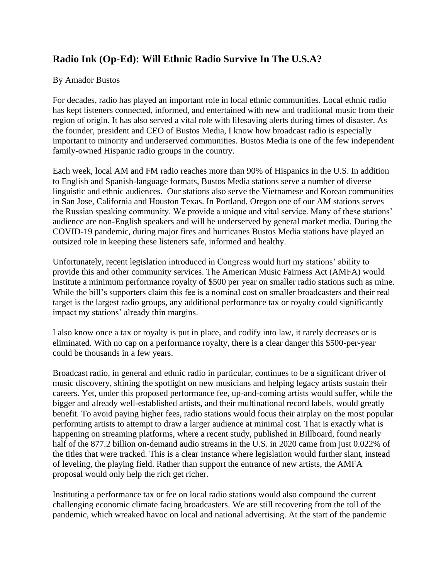## **Radio Ink (Op-Ed): Will Ethnic Radio Survive In The U.S.A?**

## By Amador Bustos

For decades, radio has played an important role in local ethnic communities. Local ethnic radio has kept listeners connected, informed, and entertained with new and traditional music from their region of origin. It has also served a vital role with lifesaving alerts during times of disaster. As the founder, president and CEO of Bustos Media, I know how broadcast radio is especially important to minority and underserved communities. Bustos Media is one of the few independent family-owned Hispanic radio groups in the country.

Each week, local AM and FM radio reaches more than 90% of Hispanics in the U.S. In addition to English and Spanish-language formats, Bustos Media stations serve a number of diverse linguistic and ethnic audiences. Our stations also serve the Vietnamese and Korean communities in San Jose, California and Houston Texas. In Portland, Oregon one of our AM stations serves the Russian speaking community. We provide a unique and vital service. Many of these stations' audience are non-English speakers and will be underserved by general market media. During the COVID-19 pandemic, during major fires and hurricanes Bustos Media stations have played an outsized role in keeping these listeners safe, informed and healthy.

Unfortunately, recent legislation introduced in Congress would hurt my stations' ability to provide this and other community services. The American Music Fairness Act (AMFA) would institute a minimum performance royalty of \$500 per year on smaller radio stations such as mine. While the bill's supporters claim this fee is a nominal cost on smaller broadcasters and their real target is the largest radio groups, any additional performance tax or royalty could significantly impact my stations' already thin margins.

I also know once a tax or royalty is put in place, and codify into law, it rarely decreases or is eliminated. With no cap on a performance royalty, there is a clear danger this \$500-per-year could be thousands in a few years.

Broadcast radio, in general and ethnic radio in particular, continues to be a significant driver of music discovery, shining the spotlight on new musicians and helping legacy artists sustain their careers. Yet, under this proposed performance fee, up-and-coming artists would suffer, while the bigger and already well-established artists, and their multinational record labels, would greatly benefit. To avoid paying higher fees, radio stations would focus their airplay on the most popular performing artists to attempt to draw a larger audience at minimal cost. That is exactly what is happening on streaming platforms, where a recent study, published in Billboard, found nearly half of the 877.2 billion on-demand audio streams in the U.S. in 2020 came from just 0.022% of the titles that were tracked. This is a clear instance where legislation would further slant, instead of leveling, the playing field. Rather than support the entrance of new artists, the AMFA proposal would only help the rich get richer.

Instituting a performance tax or fee on local radio stations would also compound the current challenging economic climate facing broadcasters. We are still recovering from the toll of the pandemic, which wreaked havoc on local and national advertising. At the start of the pandemic